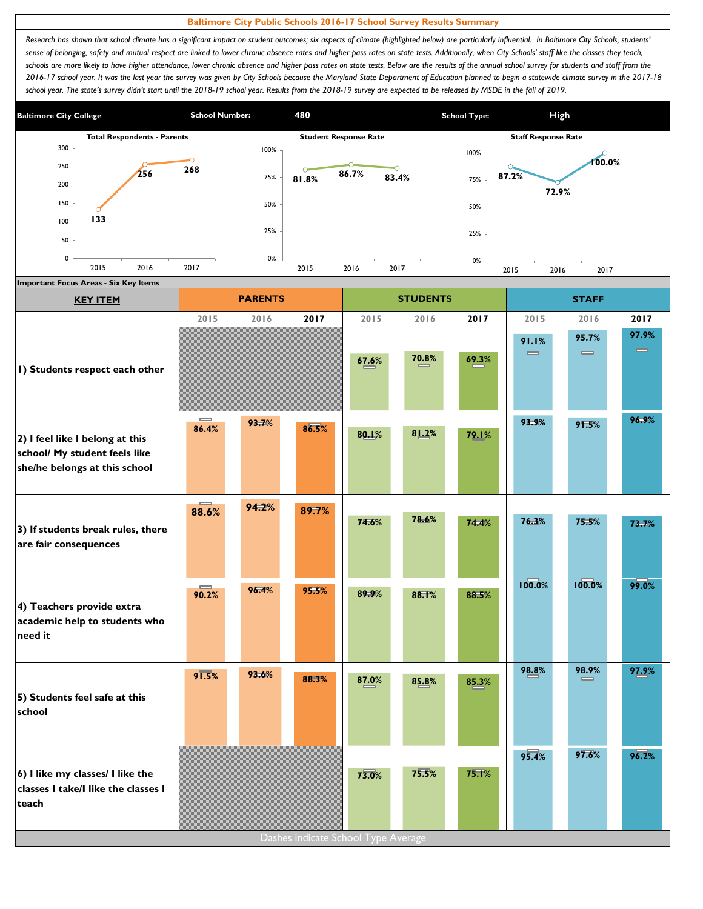## **Baltimore City Public Schools 2016-17 School Survey Results Summary**

Research has shown that school climate has a significant impact on student outcomes; six aspects of climate (highlighted below) are particularly influential. In Baltimore City Schools, students' sense of belonging, safety and mutual respect are linked to lower chronic absence rates and higher pass rates on state tests. Additionally, when City Schools' staff like the classes they teach, schools are more likely to have higher attendance, lower chronic absence and higher pass rates on state tests. Below are the results of the annual school survey for students and staff from the *2016-17 school year. It was the last year the survey was given by City Schools because the Maryland State Department of Education planned to begin a statewide climate survey in the 2017-18*  school year. The state's survey didn't start until the 2018-19 school year. Results from the 2018-19 survey are expected to be released by MSDE in the fall of 2019.



| <b>KEY ITEM</b>                                                                                   |                                       | <b>PARENTS</b> |       |                                              | <b>STUDENTS</b> |       | <b>STAFF</b>                          |                                       |                   |
|---------------------------------------------------------------------------------------------------|---------------------------------------|----------------|-------|----------------------------------------------|-----------------|-------|---------------------------------------|---------------------------------------|-------------------|
|                                                                                                   | 2015                                  | 2016           | 2017  | 2015                                         | 2016            | 2017  | 2015                                  | 2016                                  | 2017              |
| I) Students respect each other                                                                    |                                       |                |       | 67.6%                                        | 70.8%           | 69.3% | 91.1%<br>$\qquad \qquad \blacksquare$ | 95.7%<br>$\qquad \qquad \blacksquare$ | 97.9%<br>$\equiv$ |
| 2) I feel like I belong at this<br>school/ My student feels like<br>she/he belongs at this school | $\qquad \qquad \blacksquare$<br>86.4% | 93.7%          | 86.5% | 80.1%                                        | 81.2%           | 79.1% | 93.9%                                 | 91.5%                                 | 96.9%             |
| 3) If students break rules, there<br>are fair consequences                                        | 88.6%                                 | 94.2%          | 89.7% | 74.6%                                        | 78.6%           | 74.4% | 76.3%                                 | 75.5%                                 | 73.7%             |
| 4) Teachers provide extra<br>academic help to students who<br>need it                             | 90.2%                                 | 96.4%          | 95.5% | 89.9%                                        | 88.1%           | 88.5% | 100.0%                                | 100.0%                                | 99.0%             |
| 5) Students feel safe at this<br>school                                                           | $9\sqrt{1.5\%}$                       | 93.6%          | 88.3% | 87.0%                                        | 85.8%           | 85.3% | 98.8%                                 | 98.9%<br>=                            | 97.9%             |
| 6) I like my classes/ I like the<br>classes I take/I like the classes I<br>teach                  |                                       |                |       | 73.0%<br>Dashes indicate School Type Average | 75.5%           | 75.1% | 95.4%                                 | 97.6%                                 | 96.2%             |